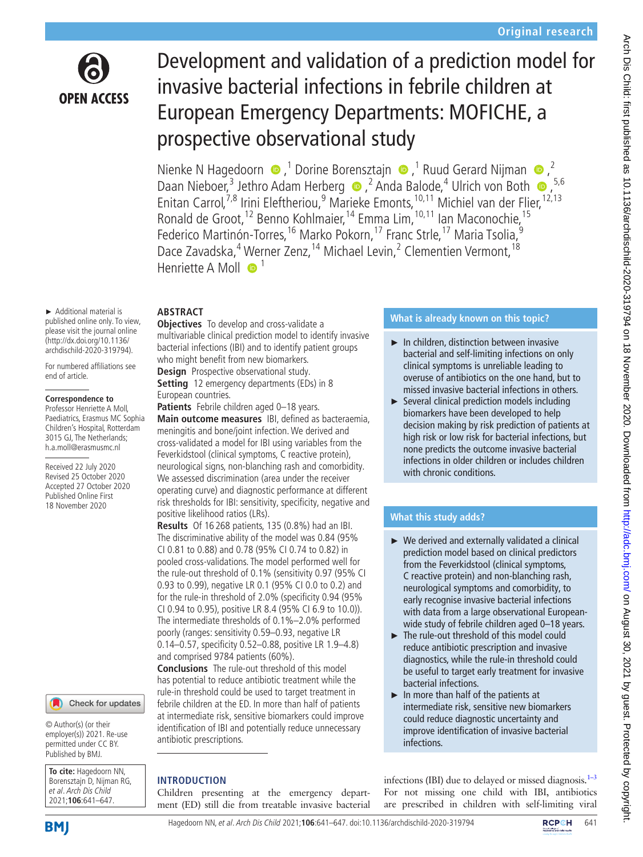

# Development and validation of a prediction model for invasive bacterial infections in febrile children at European Emergency Departments: MOFICHE, a prospective observational study

NienkeN Hagedoorn  $\bigcirc$ ,<sup>1</sup> Dorine Borensztajn  $\bigcirc$ ,<sup>1</sup> Ruud Gerard Nijman  $\bigcirc$ ,<sup>2</sup> DaanNieboer,<sup>3</sup> Jethro Adam Herberg **■**<sub>→</sub><sup>2</sup> Anda Balode,<sup>4</sup> Ulrich von Both 
■
<sub>→</sub><sup>5,6</sup> Enitan Carrol,<sup>7,8</sup> Irini Eleftheriou,<sup>9</sup> Marieke Emonts,<sup>10,11</sup> Michiel van der Flier,<sup>12,13</sup> Ronald de Groot,<sup>12</sup> Benno Kohlmaier,<sup>14</sup> Emma Lim,<sup>10,11</sup> Ian Maconochie,<sup>15</sup> Federico Martinón-Torres,<sup>16</sup> Marko Pokorn,<sup>17</sup> Franc Strle,<sup>17</sup> Maria Tsolia,<sup>9</sup> Dace Zavadska,<sup>4</sup> Werner Zenz,<sup>14</sup> Michael Levin,<sup>2</sup> Clementien Vermont,<sup>18</sup> Henriette A Moll  $\bullet$ <sup>1</sup>

# **ABSTRACT**

► Additional material is published online only. To view, please visit the journal online (http://dx.doi.org/10.1136/ archdischild-2020-319794).

For numbered affiliations see end of article.

#### **Correspondence to**

Professor Henriette A Moll, Paediatrics, Erasmus MC Sophia Children's Hospital, Rotterdam 3015 GJ, The Netherlands; h.a.moll@erasmusmc.nl

Received 22 July 2020 Revised 25 October 2020 Accepted 27 October 2020 Published Online First 18 November 2020

### Check for updates

© Author(s) (or their employer(s)) 2021. Re-use permitted under CC BY. Published by BMJ.

**To cite:** Hagedoorn NN, Borensztajn D, Nijman RG, et al. Arch Dis Child 2021;**106**:641–647.

**Objectives** To develop and cross-validate a multivariable clinical prediction model to identify invasive bacterial infections (IBI) and to identify patient groups who might benefit from new biomarkers.

**Design** Prospective observational study.

**Setting** 12 emergency departments (EDs) in 8 European countries.

**Patients** Febrile children aged 0–18 years.

**Main outcome measures** IBI, defined as bacteraemia, meningitis and bone/joint infection. We derived and cross-validated a model for IBI using variables from the Feverkidstool (clinical symptoms, C reactive protein), neurological signs, non-blanching rash and comorbidity. We assessed discrimination (area under the receiver operating curve) and diagnostic performance at different risk thresholds for IBI: sensitivity, specificity, negative and positive likelihood ratios (LRs).

**Results** Of 16 268 patients, 135 (0.8%) had an IBI. The discriminative ability of the model was 0.84 (95% CI 0.81 to 0.88) and 0.78 (95% CI 0.74 to 0.82) in pooled cross-validations. The model performed well for the rule-out threshold of 0.1% (sensitivity 0.97 (95% CI 0.93 to 0.99), negative LR 0.1 (95% CI 0.0 to 0.2) and for the rule-in threshold of 2.0% (specificity 0.94 (95% CI 0.94 to 0.95), positive LR 8.4 (95% CI 6.9 to 10.0)). The intermediate thresholds of 0.1%–2.0% performed poorly (ranges: sensitivity 0.59–0.93, negative LR 0.14–0.57, specificity 0.52–0.88, positive LR 1.9–4.8) and comprised 9784 patients (60%).

**Conclusions** The rule-out threshold of this model has potential to reduce antibiotic treatment while the rule-in threshold could be used to target treatment in febrile children at the ED. In more than half of patients at intermediate risk, sensitive biomarkers could improve identification of IBI and potentially reduce unnecessary antibiotic prescriptions.

## **INTRODUCTION**

Children presenting at the emergency department (ED) still die from treatable invasive bacterial

## **What is already known on this topic?**

- ► In children, distinction between invasive bacterial and self-limiting infections on only clinical symptoms is unreliable leading to overuse of antibiotics on the one hand, but to missed invasive bacterial infections in others.
- ► Several clinical prediction models including biomarkers have been developed to help decision making by risk prediction of patients at high risk or low risk for bacterial infections, but none predicts the outcome invasive bacterial infections in older children or includes children with chronic conditions.

# **What this study adds?**

- ► We derived and externally validated a clinical prediction model based on clinical predictors from the Feverkidstool (clinical symptoms, C reactive protein) and non-blanching rash, neurological symptoms and comorbidity, to early recognise invasive bacterial infections with data from a large observational Europeanwide study of febrile children aged 0–18 years.
- ► The rule-out threshold of this model could reduce antibiotic prescription and invasive diagnostics, while the rule-in threshold could be useful to target early treatment for invasive bacterial infections.
- ► In more than half of the patients at intermediate risk, sensitive new biomarkers could reduce diagnostic uncertainty and improve identification of invasive bacterial infections.

infections (IBI) due to delayed or missed diagnosis. $1-3$ For not missing one child with IBI, antibiotics are prescribed in children with self-limiting viral

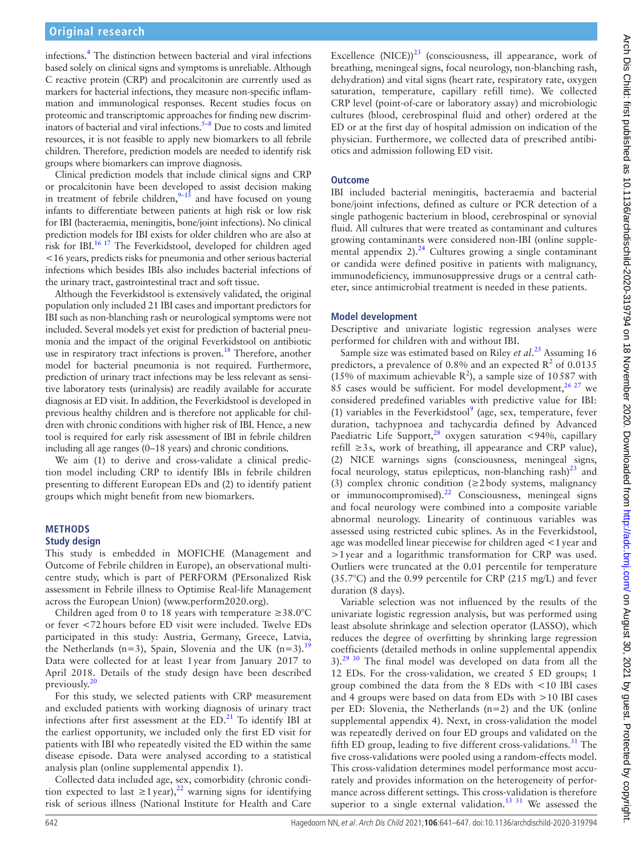infections[.4](#page-6-0) The distinction between bacterial and viral infections based solely on clinical signs and symptoms is unreliable. Although C reactive protein (CRP) and procalcitonin are currently used as markers for bacterial infections, they measure non-specific inflammation and immunological responses. Recent studies focus on proteomic and transcriptomic approaches for finding new discriminators of bacterial and viral infections. $5-8$  Due to costs and limited resources, it is not feasible to apply new biomarkers to all febrile children. Therefore, prediction models are needed to identify risk groups where biomarkers can improve diagnosis.

Clinical prediction models that include clinical signs and CRP or procalcitonin have been developed to assist decision making in treatment of febrile children,  $9-15$  and have focused on young infants to differentiate between patients at high risk or low risk for IBI (bacteraemia, meningitis, bone/joint infections). No clinical prediction models for IBI exists for older children who are also at risk for IBI.<sup>16 17</sup> The Feverkidstool, developed for children aged <16 years, predicts risks for pneumonia and other serious bacterial infections which besides IBIs also includes bacterial infections of the urinary tract, gastrointestinal tract and soft tissue.

Although the Feverkidstool is extensively validated, the original population only included 21 IBI cases and important predictors for IBI such as non-blanching rash or neurological symptoms were not included. Several models yet exist for prediction of bacterial pneumonia and the impact of the original Feverkidstool on antibiotic use in respiratory tract infections is proven.<sup>18</sup> Therefore, another model for bacterial pneumonia is not required. Furthermore, prediction of urinary tract infections may be less relevant as sensitive laboratory tests (urinalysis) are readily available for accurate diagnosis at ED visit. In addition, the Feverkidstool is developed in previous healthy children and is therefore not applicable for children with chronic conditions with higher risk of IBI. Hence, a new tool is required for early risk assessment of IBI in febrile children including all age ranges (0–18 years) and chronic conditions.

We aim (1) to derive and cross-validate a clinical prediction model including CRP to identify IBIs in febrile children presenting to different European EDs and (2) to identify patient groups which might benefit from new biomarkers.

## **METHODS**

### **Study design**

This study is embedded in MOFICHE (Management and Outcome of Febrile children in Europe), an observational multicentre study, which is part of PERFORM (PErsonalized Risk assessment in Febrile illness to Optimise Real-life Management across the European Union) ([www.perform2020.org\)](www.perform2020.org).

Children aged from 0 to 18 years with temperature ≥38.0°C or fever <72hours before ED visit were included. Twelve EDs participated in this study: Austria, Germany, Greece, Latvia, the Netherlands (n=3), Spain, Slovenia and the UK (n=3).<sup>[19](#page-6-5)</sup> Data were collected for at least 1year from January 2017 to April 2018. Details of the study design have been described previously.<sup>[20](#page-6-6)</sup>

For this study, we selected patients with CRP measurement and excluded patients with working diagnosis of urinary tract infections after first assessment at the  $ED<sup>21</sup>$  $ED<sup>21</sup>$  $ED<sup>21</sup>$  To identify IBI at the earliest opportunity, we included only the first ED visit for patients with IBI who repeatedly visited the ED within the same disease episode. Data were analysed according to a statistical analysis plan [\(online supplemental appendix 1\)](https://dx.doi.org/10.1136/archdischild-2020-319794).

Collected data included age, sex, comorbidity (chronic condition expected to last  $\geq 1$  year),<sup>[22](#page-6-8)</sup> warning signs for identifying risk of serious illness (National Institute for Health and Care

Excellence  $(NICE))^2$ <sup>3</sup> (consciousness, ill appearance, work of breathing, meningeal signs, focal neurology, non-blanching rash, dehydration) and vital signs (heart rate, respiratory rate, oxygen saturation, temperature, capillary refill time). We collected CRP level (point-of-care or laboratory assay) and microbiologic cultures (blood, cerebrospinal fluid and other) ordered at the ED or at the first day of hospital admission on indication of the physician. Furthermore, we collected data of prescribed antibiotics and admission following ED visit.

## **Outcome**

IBI included bacterial meningitis, bacteraemia and bacterial bone/joint infections, defined as culture or PCR detection of a single pathogenic bacterium in blood, cerebrospinal or synovial fluid. All cultures that were treated as contaminant and cultures growing contaminants were considered non-IBI [\(online supple](https://dx.doi.org/10.1136/archdischild-2020-319794)mental appendix  $2$ ).<sup>24</sup> Cultures growing a single contaminant or candida were defined positive in patients with malignancy, immunodeficiency, immunosuppressive drugs or a central catheter, since antimicrobial treatment is needed in these patients.

## **Model development**

Descriptive and univariate logistic regression analyses were performed for children with and without IBI.

Sample size was estimated based on Riley *et al*. [25](#page-6-11) Assuming 16 predictors, a prevalence of 0.8% and an expected  $\mathbb{R}^2$  of 0.0135 (15% of maximum achievable  $R^2$ ), a sample size of 10587 with 85 cases would be sufficient. For model development,  $2627$  we considered predefined variables with predictive value for IBI: (1) variables in the Feverkidstool<sup>[9](#page-6-2)</sup> (age, sex, temperature, fever duration, tachypnoea and tachycardia defined by Advanced Paediatric Life Support, $^{28}$  $^{28}$  $^{28}$  oxygen saturation <94%, capillary refill ≥3s, work of breathing, ill appearance and CRP value), (2) NICE warnings signs (consciousness, meningeal signs, focal neurology, status epilepticus, non-blanching rash) $^{23}$  and (3) complex chronic condition ( $\geq$ 2body systems, malignancy or immunocompromised). $^{22}$  $^{22}$  $^{22}$  Consciousness, meningeal signs and focal neurology were combined into a composite variable abnormal neurology. Linearity of continuous variables was assessed using restricted cubic splines. As in the Feverkidstool, age was modelled linear piecewise for children aged <1year and >1year and a logarithmic transformation for CRP was used. Outliers were truncated at the 0.01 percentile for temperature (35.7°C) and the 0.99 percentile for CRP (215 mg/L) and fever duration (8 days).

Variable selection was not influenced by the results of the univariate logistic regression analysis, but was performed using least absolute shrinkage and selection operator (LASSO), which reduces the degree of overfitting by shrinking large regression coefficients (detailed methods in [online supplemental appendix](https://dx.doi.org/10.1136/archdischild-2020-319794)  $3$ .<sup>29 30</sup> The final model was developed on data from all the 12 EDs. For the cross-validation, we created 5 ED groups; 1 group combined the data from the 8 EDs with <10 IBI cases and 4 groups were based on data from EDs with >10 IBI cases per ED: Slovenia, the Netherlands (n=2) and the UK [\(online](https://dx.doi.org/10.1136/archdischild-2020-319794) [supplemental appendix 4](https://dx.doi.org/10.1136/archdischild-2020-319794)). Next, in cross-validation the model was repeatedly derived on four ED groups and validated on the fifth ED group, leading to five different cross-validations.<sup>[31](#page-6-15)</sup> The five cross-validations were pooled using a random-effects model. This cross-validation determines model performance most accurately and provides information on the heterogeneity of performance across different settings. This cross-validation is therefore superior to a single external validation.<sup>[13 31](#page-6-16)</sup> We assessed the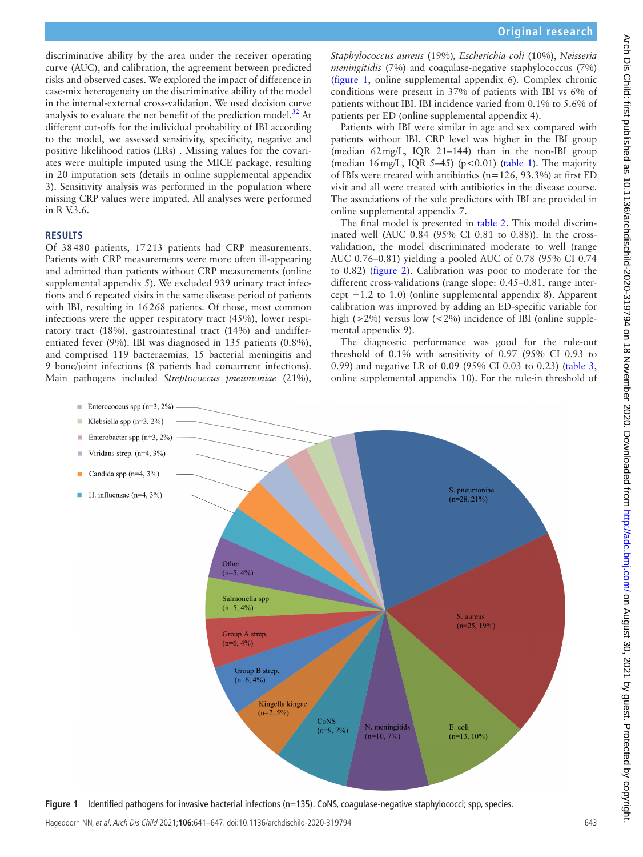discriminative ability by the area under the receiver operating curve (AUC), and calibration, the agreement between predicted risks and observed cases. We explored the impact of difference in case-mix heterogeneity on the discriminative ability of the model in the internal-external cross-validation. We used decision curve analysis to evaluate the net benefit of the prediction model. $32$  At different cut-offs for the individual probability of IBI according to the model, we assessed sensitivity, specificity, negative and positive likelihood ratios (LRs) . Missing values for the covariates were multiple imputed using the MICE package, resulting in 20 imputation sets (details in [online supplemental appendix](https://dx.doi.org/10.1136/archdischild-2020-319794)  [3](https://dx.doi.org/10.1136/archdischild-2020-319794)). Sensitivity analysis was performed in the population where missing CRP values were imputed. All analyses were performed in R V.3.6.

### **RESULTS**

Of 38480 patients, 17213 patients had CRP measurements. Patients with CRP measurements were more often ill-appearing and admitted than patients without CRP measurements [\(online](https://dx.doi.org/10.1136/archdischild-2020-319794)  [supplemental appendix 5](https://dx.doi.org/10.1136/archdischild-2020-319794)). We excluded 939 urinary tract infections and 6 repeated visits in the same disease period of patients with IBI, resulting in 16268 patients. Of those, most common infections were the upper respiratory tract (45%), lower respiratory tract (18%), gastrointestinal tract (14%) and undifferentiated fever (9%). IBI was diagnosed in 135 patients (0.8%), and comprised 119 bacteraemias, 15 bacterial meningitis and 9 bone/joint infections (8 patients had concurrent infections). Main pathogens included *Streptococcus pneumoniae* (21%),

*Staphylococcus aureus* (19%)*, Escherichia coli* (10%), *Neisseria meningitidis* (7%) and coagulase-negative staphylococcus (7%) ([figure](#page-2-0) 1, [online supplemental appendix 6](https://dx.doi.org/10.1136/archdischild-2020-319794)). Complex chronic conditions were present in 37% of patients with IBI vs 6% of patients without IBI. IBI incidence varied from 0.1% to 5.6% of patients per ED [\(online supplemental appendix 4](https://dx.doi.org/10.1136/archdischild-2020-319794)).

Patients with IBI were similar in age and sex compared with patients without IBI. CRP level was higher in the IBI group (median 62mg/L, IQR 21–144) than in the non-IBI group (median  $16 \text{ mg/L}$ , IQR 5–45) (p<0.01) ([table](#page-3-0) 1). The majority of IBIs were treated with antibiotics (n=126, 93.3%) at first ED visit and all were treated with antibiotics in the disease course. The associations of the sole predictors with IBI are provided in [online supplemental appendix 7](https://dx.doi.org/10.1136/archdischild-2020-319794).

The final model is presented in [table](#page-3-1) 2. This model discriminated well (AUC 0.84 (95% CI 0.81 to 0.88)). In the crossvalidation, the model discriminated moderate to well (range AUC 0.76–0.81) yielding a pooled AUC of 0.78 (95% CI 0.74 to 0.82) ([figure](#page-3-2) 2). Calibration was poor to moderate for the different cross-validations (range slope: 0.45–0.81, range intercept −1.2 to 1.0) ([online supplemental appendix 8\)](https://dx.doi.org/10.1136/archdischild-2020-319794). Apparent calibration was improved by adding an ED-specific variable for high ( $>2\%$ ) versus low ( $<2\%$ ) incidence of IBI [\(online supple](https://dx.doi.org/10.1136/archdischild-2020-319794)[mental appendix 9\)](https://dx.doi.org/10.1136/archdischild-2020-319794).

The diagnostic performance was good for the rule-out threshold of 0.1% with sensitivity of 0.97 (95% CI 0.93 to 0.99) and negative LR of 0.09 (95% CI 0.03 to 0.23) [\(table](#page-4-0) 3, [online supplemental appendix 10](https://dx.doi.org/10.1136/archdischild-2020-319794)). For the rule-in threshold of



<span id="page-2-0"></span>**Figure 1** Identified pathogens for invasive bacterial infections (n=135). CoNS, coagulase-negative staphylococci; spp, species.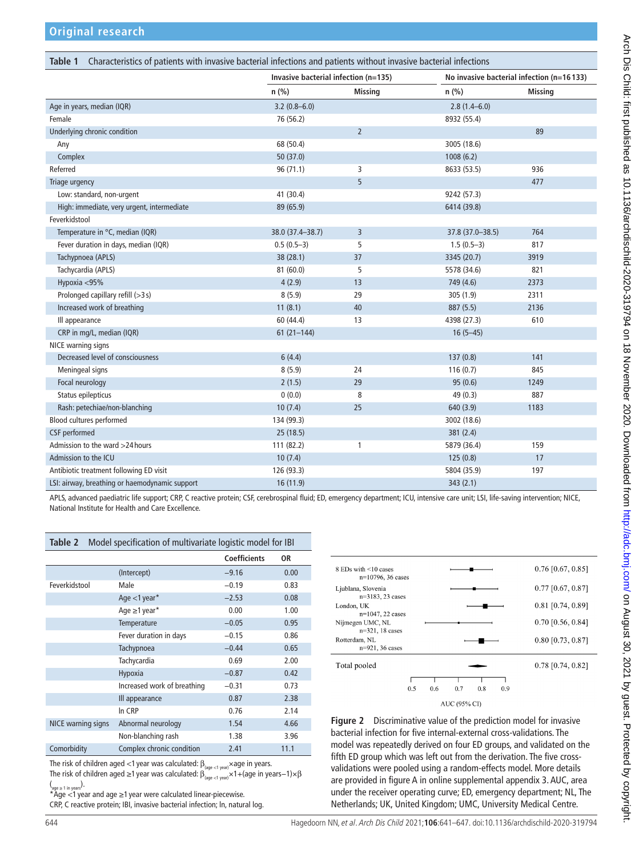<span id="page-3-0"></span>

| Characteristics of patients with invasive bacterial infections and patients without invasive bacterial infections<br>Table 1 |                                      |                |                                           |                |  |  |  |  |
|------------------------------------------------------------------------------------------------------------------------------|--------------------------------------|----------------|-------------------------------------------|----------------|--|--|--|--|
|                                                                                                                              | Invasive bacterial infection (n=135) |                | No invasive bacterial infection (n=16133) |                |  |  |  |  |
|                                                                                                                              | $n$ (%)                              | <b>Missing</b> | $n$ (%)                                   | <b>Missing</b> |  |  |  |  |
| Age in years, median (IQR)                                                                                                   | $3.2(0.8 - 6.0)$                     |                | $2.8(1.4 - 6.0)$                          |                |  |  |  |  |
| Female                                                                                                                       | 76 (56.2)                            |                | 8932 (55.4)                               |                |  |  |  |  |
| Underlying chronic condition                                                                                                 |                                      | $\overline{2}$ |                                           | 89             |  |  |  |  |
| Any                                                                                                                          | 68 (50.4)                            |                | 3005 (18.6)                               |                |  |  |  |  |
| Complex                                                                                                                      | 50(37.0)                             |                | 1008(6.2)                                 |                |  |  |  |  |
| Referred                                                                                                                     | 96(71.1)                             | 3              | 8633 (53.5)                               | 936            |  |  |  |  |
| Triage urgency                                                                                                               |                                      | 5              |                                           | 477            |  |  |  |  |
| Low: standard, non-urgent                                                                                                    | 41 (30.4)                            |                | 9242 (57.3)                               |                |  |  |  |  |
| High: immediate, very urgent, intermediate                                                                                   | 89 (65.9)                            |                | 6414 (39.8)                               |                |  |  |  |  |
| Feverkidstool                                                                                                                |                                      |                |                                           |                |  |  |  |  |
| Temperature in °C, median (IQR)                                                                                              | 38.0 (37.4-38.7)                     | 3              | 37.8 (37.0-38.5)                          | 764            |  |  |  |  |
| Fever duration in days, median (IQR)                                                                                         | $0.5(0.5-3)$                         | 5              | $1.5(0.5-3)$                              | 817            |  |  |  |  |
| Tachypnoea (APLS)                                                                                                            | 38 (28.1)                            | 37             | 3345 (20.7)                               | 3919           |  |  |  |  |
| Tachycardia (APLS)                                                                                                           | 81(60.0)                             | 5              | 5578 (34.6)                               | 821            |  |  |  |  |
| Hypoxia <95%                                                                                                                 | 4(2.9)                               | 13             | 749 (4.6)                                 | 2373           |  |  |  |  |
| Prolonged capillary refill (>3s)                                                                                             | 8(5.9)                               | 29             | 305 (1.9)                                 | 2311           |  |  |  |  |
| Increased work of breathing                                                                                                  | 11(8.1)                              | 40             | 887 (5.5)                                 | 2136           |  |  |  |  |
| Ill appearance                                                                                                               | 60 (44.4)                            | 13             | 4398 (27.3)                               | 610            |  |  |  |  |
| CRP in mg/L, median (IQR)                                                                                                    | $61(21 - 144)$                       |                | $16(5-45)$                                |                |  |  |  |  |
| NICE warning signs                                                                                                           |                                      |                |                                           |                |  |  |  |  |
| Decreased level of consciousness                                                                                             | 6(4.4)                               |                | 137(0.8)                                  | 141            |  |  |  |  |
| Meningeal signs                                                                                                              | 8(5.9)                               | 24             | 116(0.7)                                  | 845            |  |  |  |  |
| Focal neurology                                                                                                              | 2(1.5)                               | 29             | 95(0.6)                                   | 1249           |  |  |  |  |
| Status epilepticus                                                                                                           | 0(0.0)                               | 8              | 49 (0.3)                                  | 887            |  |  |  |  |
| Rash: petechiae/non-blanching                                                                                                | 10(7.4)                              | 25             | 640 (3.9)                                 | 1183           |  |  |  |  |
| Blood cultures performed                                                                                                     | 134 (99.3)                           |                | 3002 (18.6)                               |                |  |  |  |  |
| CSF performed                                                                                                                | 25(18.5)                             |                | 381(2.4)                                  |                |  |  |  |  |
| Admission to the ward >24 hours                                                                                              | 111 (82.2)                           | 1              | 5879 (36.4)                               | 159            |  |  |  |  |
| Admission to the ICU                                                                                                         | 10(7.4)                              |                | 125(0.8)                                  | 17             |  |  |  |  |
| Antibiotic treatment following ED visit                                                                                      | 126 (93.3)                           |                | 5804 (35.9)                               | 197            |  |  |  |  |
| LSI: airway, breathing or haemodynamic support                                                                               | 16 (11.9)                            |                | 343(2.1)                                  |                |  |  |  |  |

APLS, advanced paediatric life support; CRP, C reactive protein; CSF, cerebrospinal fluid; ED, emergency department; ICU, intensive care unit; LSI, life-saving intervention; NICE, National Institute for Health and Care Excellence.

<span id="page-3-1"></span>

| Table 2            | Model specification of multivariate logistic model for IBI |                     |      |  |  |  |
|--------------------|------------------------------------------------------------|---------------------|------|--|--|--|
|                    |                                                            | <b>Coefficients</b> | 0R   |  |  |  |
|                    | (Intercept)                                                | $-9.16$             | 0.00 |  |  |  |
| Feverkidstool      | Male                                                       | $-0.19$             | 0.83 |  |  |  |
|                    | Age $<$ 1 year*                                            | $-2.53$             | 0.08 |  |  |  |
|                    | Age $\geq$ 1 year*                                         | 0.00                | 1.00 |  |  |  |
|                    | <b>Temperature</b>                                         | $-0.05$             | 0.95 |  |  |  |
|                    | Fever duration in days                                     | $-0.15$             | 0.86 |  |  |  |
|                    | Tachypnoea                                                 | $-0.44$             | 0.65 |  |  |  |
|                    | Tachycardia                                                | 0.69                | 2.00 |  |  |  |
|                    | Hypoxia                                                    | $-0.87$             | 0.42 |  |  |  |
|                    | Increased work of breathing                                | $-0.31$             | 0.73 |  |  |  |
|                    | Ill appearance                                             | 0.87                | 2.38 |  |  |  |
|                    | In CRP                                                     | 0.76                | 2.14 |  |  |  |
| NICE warning signs | Abnormal neurology                                         | 1.54                | 4.66 |  |  |  |
|                    | Non-blanching rash                                         | 1.38                | 3.96 |  |  |  |
| Comorbidity        | Complex chronic condition                                  | 2.41                | 11.1 |  |  |  |

The risk of children aged <1 year was calculated:  $\beta_{\text{(aqe <1 year)}} \times$ age in years.

The risk of children aged ≥1 year was calculated:  $\beta_{\text{(age} <1\text{ year})}^{(4)} \times 1 + (\text{age in years}-1) \times \beta$ 

(<sub>age≥i in years</sub>).<br>\*Age <1 year and age ≥1 year were calculated linear-piecewise.

CRP, C reactive protein; IBI, invasive bacterial infection; ln, natural log.



<span id="page-3-2"></span>**Figure 2** Discriminative value of the prediction model for invasive bacterial infection for five internal-external cross-validations. The model was repeatedly derived on four ED groups, and validated on the fifth ED group which was left out from the derivation. The five crossvalidations were pooled using a random-effects model. More details are provided in figure A in [online supplemental appendix 3.](https://dx.doi.org/10.1136/archdischild-2020-319794) AUC, area under the receiver operating curve; ED, emergency department; NL, The Netherlands; UK, United Kingdom; UMC, University Medical Centre.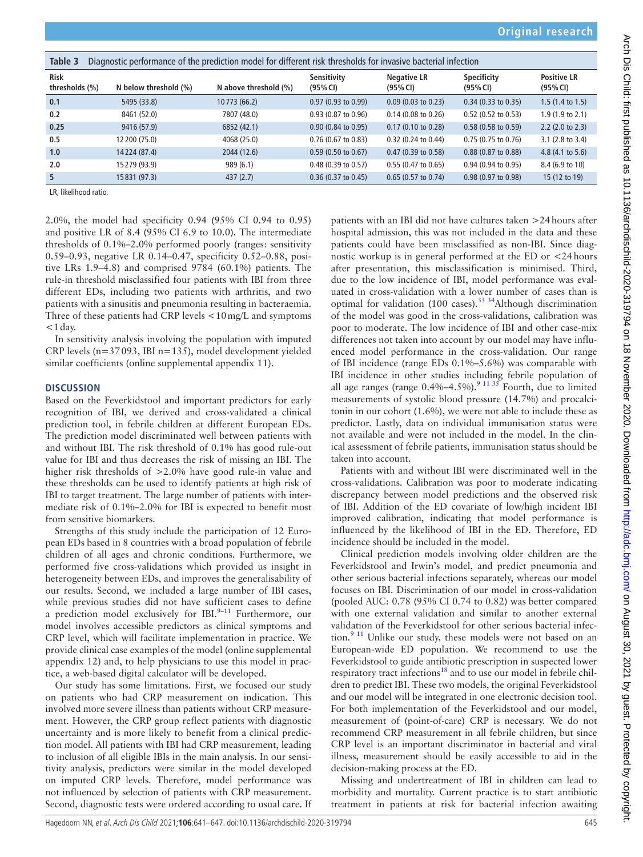<span id="page-4-0"></span>

| Diagnostic performance of the prediction model for different risk thresholds for invasive bacterial infection<br>Table 3 |                       |                       |                               |                                |                                |                                |  |  |  |
|--------------------------------------------------------------------------------------------------------------------------|-----------------------|-----------------------|-------------------------------|--------------------------------|--------------------------------|--------------------------------|--|--|--|
| <b>Risk</b><br>thresholds (%)                                                                                            | N below threshold (%) | N above threshold (%) | Sensitivity<br>(95% CI)       | <b>Negative LR</b><br>(95% CI) | <b>Specificity</b><br>(95% CI) | <b>Positive LR</b><br>(95% CI) |  |  |  |
| 0.1                                                                                                                      | 5495 (33.8)           | 10773 (66.2)          | $0.97(0.93 \text{ to } 0.99)$ | $0.09$ (0.03 to 0.23)          | $0.34$ (0.33 to 0.35)          | $1.5(1.4 \text{ to } 1.5)$     |  |  |  |
| 0.2                                                                                                                      | 8461 (52.0)           | 7807 (48.0)           | $0.93$ (0.87 to 0.96)         | $0.14$ (0.08 to 0.26)          | $0.52$ (0.52 to 0.53)          | 1.9 (1.9 to 2.1)               |  |  |  |
| 0.25                                                                                                                     | 9416 (57.9)           | 6852 (42.1)           | $0.90(0.84 \text{ to } 0.95)$ | $0.17$ (0.10 to 0.28)          | $0.58(0.58 \text{ to } 0.59)$  | $2.2$ (2.0 to 2.3)             |  |  |  |
| 0.5                                                                                                                      | 12 200 (75.0)         | 4068 (25.0)           | $0.76$ (0.67 to 0.83)         | 0.32 (0.24 to 0.44)            | $0.75(0.75)$ to $0.76$         | $3.1$ (2.8 to 3.4)             |  |  |  |
| 1.0                                                                                                                      | 14224 (87.4)          | 2044 (12.6)           | $0.59$ (0.50 to 0.67)         | $0.47$ (0.39 to 0.58)          | $0.88$ (0.87 to 0.88)          | 4.8 $(4.1 \text{ to } 5.6)$    |  |  |  |
| 2.0                                                                                                                      | 15279 (93.9)          | 989(6.1)              | $0.48$ (0.39 to 0.57)         | $0.55(0.47 \text{ to } 0.65)$  | $0.94$ (0.94 to 0.95)          | 8.4 (6.9 to 10)                |  |  |  |
| 5                                                                                                                        | 15 831 (97.3)         | 437(2.7)              | $0.36$ (0.37 to 0.45)         | $0.65$ (0.57 to 0.74)          | 0.98 (0.97 to 0.98)            | 15 (12 to 19)                  |  |  |  |

LR, likelihood ratio.

2.0%, the model had specificity 0.94 (95% CI 0.94 to 0.95) and positive LR of 8.4 (95% CI 6.9 to 10.0). The intermediate thresholds of 0.1%–2.0% performed poorly (ranges: sensitivity 0.59–0.93, negative LR 0.14–0.47, specificity 0.52–0.88, positive LRs 1.9–4.8) and comprised 9784 (60.1%) patients. The rule-in threshold misclassified four patients with IBI from three different EDs, including two patients with arthritis, and two patients with a sinusitis and pneumonia resulting in bacteraemia. Three of these patients had CRP levels <10mg/L and symptoms  $<$ 1 day.

In sensitivity analysis involving the population with imputed CRP levels (n=37093, IBI n=135), model development yielded similar coefficients ([online supplemental appendix 11](https://dx.doi.org/10.1136/archdischild-2020-319794)).

#### **DISCUSSION**

Based on the Feverkidstool and important predictors for early recognition of IBI, we derived and cross-validated a clinical prediction tool, in febrile children at different European EDs. The prediction model discriminated well between patients with and without IBI. The risk threshold of 0.1% has good rule-out value for IBI and thus decreases the risk of missing an IBI. The higher risk thresholds of >2.0% have good rule-in value and these thresholds can be used to identify patients at high risk of IBI to target treatment. The large number of patients with intermediate risk of 0.1%–2.0% for IBI is expected to benefit most from sensitive biomarkers.

Strengths of this study include the participation of 12 European EDs based in 8 countries with a broad population of febrile children of all ages and chronic conditions. Furthermore, we performed five cross-validations which provided us insight in heterogeneity between EDs, and improves the generalisability of our results. Second, we included a large number of IBI cases, while previous studies did not have sufficient cases to define a prediction model exclusively for IBI. $9-11$  Furthermore, our model involves accessible predictors as clinical symptoms and CRP level, which will facilitate implementation in practice. We provide clinical case examples of the model [\(online supplemental](https://dx.doi.org/10.1136/archdischild-2020-319794)  [appendix 12\)](https://dx.doi.org/10.1136/archdischild-2020-319794) and, to help physicians to use this model in practice, a web-based digital calculator will be developed.

Our study has some limitations. First, we focused our study on patients who had CRP measurement on indication. This involved more severe illness than patients without CRP measurement. However, the CRP group reflect patients with diagnostic uncertainty and is more likely to benefit from a clinical prediction model. All patients with IBI had CRP measurement, leading to inclusion of all eligible IBIs in the main analysis. In our sensitivity analysis, predictors were similar in the model developed on imputed CRP levels. Therefore, model performance was not influenced by selection of patients with CRP measurement. Second, diagnostic tests were ordered according to usual care. If

patients with an IBI did not have cultures taken >24hours after hospital admission, this was not included in the data and these patients could have been misclassified as non-IBI. Since diagnostic workup is in general performed at the ED or <24hours after presentation, this misclassification is minimised. Third, due to the low incidence of IBI, model performance was evaluated in cross-validation with a lower number of cases than is  $\frac{1}{2}$  and  $\frac{1}{2}$  cases that is optimal for validation (100 cases).<sup>[33 34](#page-6-18)</sup>Although discrimination of the model was good in the cross-validations, calibration was poor to moderate. The low incidence of IBI and other case-mix differences not taken into account by our model may have influenced model performance in the cross-validation. Our range of IBI incidence (range EDs 0.1%–5.6%) was comparable with IBI incidence in other studies including febrile population of all age ranges (range  $0.4\%$ -4.5%).<sup>9</sup><sup>11 35</sup> Fourth, due to limited measurements of systolic blood pressure (14.7%) and procalcitonin in our cohort (1.6%), we were not able to include these as predictor. Lastly, data on individual immunisation status were not available and were not included in the model. In the clinical assessment of febrile patients, immunisation status should be taken into account.

Patients with and without IBI were discriminated well in the cross-validations. Calibration was poor to moderate indicating discrepancy between model predictions and the observed risk of IBI. Addition of the ED covariate of low/high incident IBI improved calibration, indicating that model performance is influenced by the likelihood of IBI in the ED. Therefore, ED incidence should be included in the model.

Clinical prediction models involving older children are the Feverkidstool and Irwin's model, and predict pneumonia and other serious bacterial infections separately, whereas our model focuses on IBI. Discrimination of our model in cross-validation (pooled AUC: 0.78 (95% CI 0.74 to 0.82) was better compared with one external validation and similar to another external validation of the Feverkidstool for other serious bacterial infection. $9<sup>11</sup>$  Unlike our study, these models were not based on an European-wide ED population. We recommend to use the Feverkidstool to guide antibiotic prescription in suspected lower respiratory tract infections<sup>18</sup> and to use our model in febrile children to predict IBI. These two models, the original Feverkidstool and our model will be integrated in one electronic decision tool. For both implementation of the Feverkidstool and our model, measurement of (point-of-care) CRP is necessary. We do not recommend CRP measurement in all febrile children, but since CRP level is an important discriminator in bacterial and viral illness, measurement should be easily accessible to aid in the decision-making process at the ED.

Missing and undertreatment of IBI in children can lead to morbidity and mortality. Current practice is to start antibiotic treatment in patients at risk for bacterial infection awaiting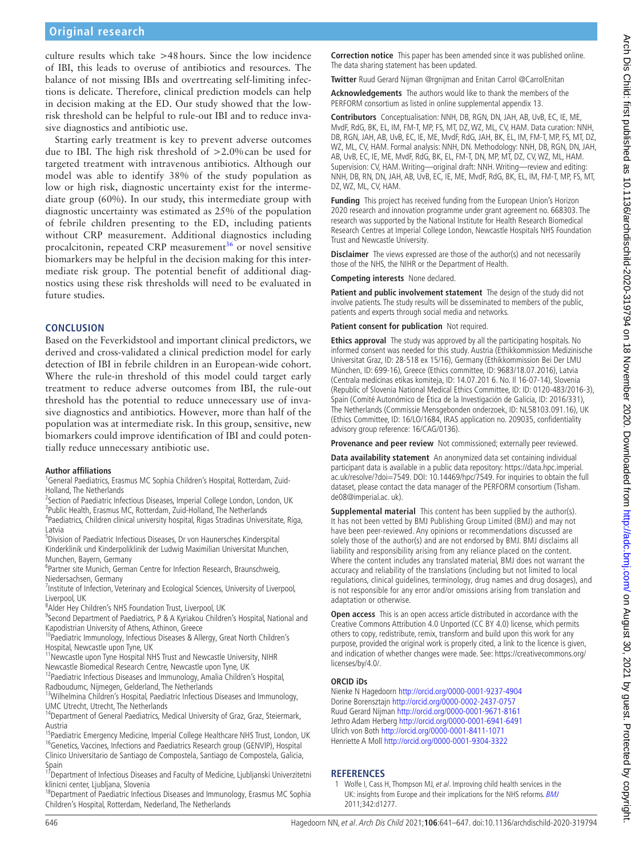# **Original research**

culture results which take >48hours. Since the low incidence of IBI, this leads to overuse of antibiotics and resources. The balance of not missing IBIs and overtreating self-limiting infections is delicate. Therefore, clinical prediction models can help in decision making at the ED. Our study showed that the lowrisk threshold can be helpful to rule-out IBI and to reduce invasive diagnostics and antibiotic use.

Starting early treatment is key to prevent adverse outcomes due to IBI. The high risk threshold of >2.0%can be used for targeted treatment with intravenous antibiotics. Although our model was able to identify 38% of the study population as low or high risk, diagnostic uncertainty exist for the intermediate group (60%). In our study, this intermediate group with diagnostic uncertainty was estimated as 25% of the population of febrile children presenting to the ED, including patients without CRP measurement. Additional diagnostics including procalcitonin, repeated CRP measurement<sup>[36](#page-6-19)</sup> or novel sensitive biomarkers may be helpful in the decision making for this intermediate risk group. The potential benefit of additional diagnostics using these risk thresholds will need to be evaluated in future studies.

#### **CONCLUSION**

Based on the Feverkidstool and important clinical predictors, we derived and cross-validated a clinical prediction model for early detection of IBI in febrile children in an European-wide cohort. Where the rule-in threshold of this model could target early treatment to reduce adverse outcomes from IBI, the rule-out threshold has the potential to reduce unnecessary use of invasive diagnostics and antibiotics. However, more than half of the population was at intermediate risk. In this group, sensitive, new biomarkers could improve identification of IBI and could potentially reduce unnecessary antibiotic use.

#### **Author affiliations**

<sup>1</sup>General Paediatrics, Erasmus MC Sophia Children's Hospital, Rotterdam, Zuid-Holland, The Netherlands <sup>2</sup>

<sup>2</sup> Section of Paediatric Infectious Diseases, Imperial College London, London, UK <sup>3</sup> Public Health, Erasmus MC, Rotterdam, Zuid-Holland, The Netherlands<br><sup>4</sup> Paodiatrics, Children clinical university bespital, Pigas Stradinas Univers Paediatrics, Children clinical university hospital, Rigas Stradinas Universitate, Riga,

Latvia 5 Division of Paediatric Infectious Diseases, Dr von Haunersches Kinderspital

Kinderklinik und Kinderpoliklinik der Ludwig Maximilian Universitat Munchen, Munchen, Bayern, Germany

<sup>6</sup>Partner site Munich, German Centre for Infection Research, Braunschweig, Niedersachsen, Germany

<sup>7</sup>Institute of Infection, Veterinary and Ecological Sciences, University of Liverpool, Liverpool, UK

<sup>8</sup> Alder Hey Children's NHS Foundation Trust, Liverpool, UK

<sup>9</sup>Second Department of Paediatrics, P & A Kyriakou Children's Hospital, National and Kapodistrian University of Athens, Athinon, Greece

<sup>10</sup>Paediatric Immunology, Infectious Diseases & Allergy, Great North Children's Hospital, Newcastle upon Tyne, UK

<sup>11</sup> Newcastle upon Tyne Hospital NHS Trust and Newcastle University, NIHR

Newcastle Biomedical Research Centre, Newcastle upon Tyne, UK 12Paediatric Infectious Diseases and Immunology, Amalia Children's Hospital,

Radboudumc, Nijmegen, Gelderland, The Netherlands

<sup>13</sup>Wilhelmina Children's Hospital, Paediatric Infectious Diseases and Immunology, UMC Utrecht, Utrecht, The Netherlands

<sup>14</sup>Department of General Paediatrics, Medical University of Graz, Graz, Steiermark,

Austria<br><sup>15</sup>Paediatric Emergency Medicine, Imperial College Healthcare NHS Trust, London, UK <sup>16</sup>Genetics, Vaccines, Infections and Paediatrics Research group (GENVIP), Hospital Clinico Universitario de Santiago de Compostela, Santiago de Compostela, Galicia, Spain

<sup>17</sup> Department of Infectious Diseases and Faculty of Medicine, Ljubljanski Univerzitetni klinicni center, Ljubljana, Slovenia

<sup>18</sup>Department of Paediatric Infectious Diseases and Immunology, Erasmus MC Sophia Children's Hospital, Rotterdam, Nederland, The Netherlands

**Correction notice** This paper has been amended since it was published online. The data sharing statement has been updated.

**Twitter** Ruud Gerard Nijman [@rgnijman](https://twitter.com/rgnijman) and Enitan Carrol [@CarrolEnitan](https://twitter.com/CarrolEnitan)

**Acknowledgements** The authors would like to thank the members of the PERFORM consortium as listed in [online supplemental appendix 13](https://dx.doi.org/10.1136/archdischild-2020-319794).

**Contributors** Conceptualisation: NNH, DB, RGN, DN, JAH, AB, UvB, EC, IE, ME, MvdF, RdG, BK, EL, IM, FM-T, MP, FS, MT, DZ, WZ, ML, CV, HAM. Data curation: NNH, DB, RGN, JAH, AB, UvB, EC, IE, ME, MvdF, RdG, JAH, BK, EL, IM, FM-T, MP, FS, MT, DZ, WZ, ML, CV, HAM. Formal analysis: NNH, DN. Methodology: NNH, DB, RGN, DN, JAH, AB, UvB, EC, IE, ME, MvdF, RdG, BK, EL, FM-T, DN, MP, MT, DZ, CV, WZ, ML, HAM. Supervision: CV, HAM. Writing—original draft: NNH. Writing—review and editing: NNH, DB, RN, DN, JAH, AB, UvB, EC, IE, ME, MvdF, RdG, BK, EL, IM, FM-T, MP, FS, MT, DZ, WZ, ML, CV, HAM.

**Funding** This project has received funding from the European Union's Horizon 2020 research and innovation programme under grant agreement no. 668303. The research was supported by the National Institute for Health Research Biomedical Research Centres at Imperial College London, Newcastle Hospitals NHS Foundation Trust and Newcastle University.

**Disclaimer** The views expressed are those of the author(s) and not necessarily those of the NHS, the NIHR or the Department of Health.

**Competing interests** None declared.

**Patient and public involvement statement** The design of the study did not involve patients. The study results will be disseminated to members of the public, patients and experts through social media and networks.

**Patient consent for publication** Not required.

**Ethics approval** The study was approved by all the participating hospitals. No informed consent was needed for this study. Austria (Ethikkommission Medizinische Universitat Graz, ID: 28-518 ex 15/16), Germany (Ethikkommission Bei Der LMU München, ID: 699-16), Greece (Ethics committee, ID: 9683/18.07.2016), Latvia (Centrala medicinas etikas komiteja, ID: 14.07.201 6. No. Il 16-07-14), Slovenia (Republic of Slovenia National Medical Ethics Committee, ID: ID: 0120-483/2016-3), Spain (Comité Autonómico de Ética de la Investigación de Galicia, ID: 2016/331), The Netherlands (Commissie Mensgebonden onderzoek, ID: NL58103.091.16), UK (Ethics Committee, ID: 16/LO/1684, IRAS application no. 209035, confidentiality advisory group reference: 16/CAG/0136).

Provenance and peer review Not commissioned; externally peer reviewed.

**Data availability statement** An anonymized data set containing individual participant data is available in a public data repository: [https://data.hpc.imperial.](https://data.hpc.imperial.ac.uk/resolve/?doi=7549) [ac.uk/resolve/?doi=7549](https://data.hpc.imperial.ac.uk/resolve/?doi=7549). DOI: 10.14469/hpc/7549. For inquiries to obtain the full dataset, please contact the data manager of the PERFORM consortium (Tisham. de08@imperial.ac. uk).

**Supplemental material** This content has been supplied by the author(s). It has not been vetted by BMJ Publishing Group Limited (BMJ) and may not have been peer-reviewed. Any opinions or recommendations discussed are solely those of the author(s) and are not endorsed by BMJ. BMJ disclaims all liability and responsibility arising from any reliance placed on the content. Where the content includes any translated material, BMJ does not warrant the accuracy and reliability of the translations (including but not limited to local regulations, clinical guidelines, terminology, drug names and drug dosages), and is not responsible for any error and/or omissions arising from translation and adaptation or otherwise.

**Open access** This is an open access article distributed in accordance with the Creative Commons Attribution 4.0 Unported (CC BY 4.0) license, which permits others to copy, redistribute, remix, transform and build upon this work for any purpose, provided the original work is properly cited, a link to the licence is given, and indication of whether changes were made. See: [https://creativecommons.org/](https://creativecommons.org/licenses/by/4.0/) [licenses/by/4.0/.](https://creativecommons.org/licenses/by/4.0/)

#### **ORCID iDs**

Nienke N Hagedoorn<http://orcid.org/0000-0001-9237-4904> Dorine Borensztajn <http://orcid.org/0000-0002-2437-0757> Ruud Gerard Nijman<http://orcid.org/0000-0001-9671-8161> Jethro Adam Herberg <http://orcid.org/0000-0001-6941-6491> Ulrich von Both<http://orcid.org/0000-0001-8411-1071> Henriette A Moll<http://orcid.org/0000-0001-9304-3322>

### **REFERENCES**

<span id="page-5-0"></span>1 Wolfe I, Cass H, Thompson MJ, et al. Improving child health services in the UK: insights from Europe and their implications for the NHS reforms. [BMJ](http://dx.doi.org/10.1136/bmj.d1277) 2011;342:d1277.